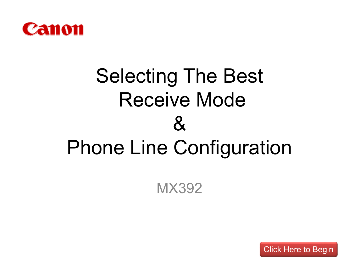<span id="page-0-0"></span>

# Selecting The Best Receive Mode  $\mathcal{S}_{\mathbf{k}}$ Phone Line Configuration

MX392

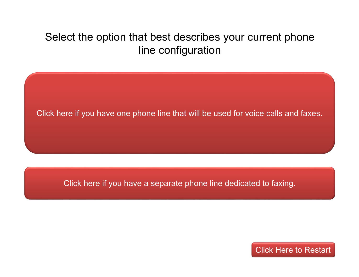## <span id="page-1-0"></span>Select the option that best describes your current phone line configuration

[Click here if you have one phone line that will be used for voice calls and faxes.](#page-2-0)

[Click here if you have a separate phone line dedicated to faxing.](#page-3-0)

[Click Here to Restart](#page-0-0)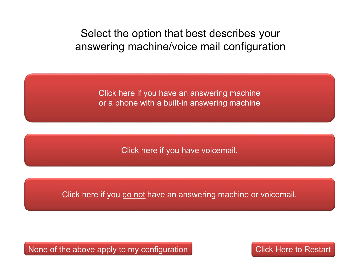<span id="page-2-0"></span>Select the option that best describes your answering machine/voice mail configuration

> [Click here if you have an answering machine](#page-4-0)  or a phone with a built-in answering machine

> > [Click here if you have voicemail.](#page-8-0)

Click here if you do not [have an answering machine or voicemail.](#page-9-0)

[None of the above apply to my configuration](#page-16-0)

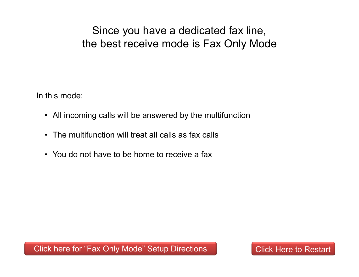<span id="page-3-0"></span>Since you have a dedicated fax line, the best receive mode is Fax Only Mode

In this mode:

- All incoming calls will be answered by the multifunction
- The multifunction will treat all calls as fax calls
- You do not have to be home to receive a fax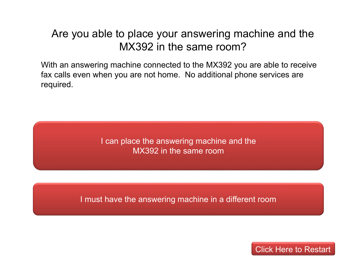#### <span id="page-4-0"></span>Are you able to place your answering machine and the MX392 in the same room?

With an answering machine connected to the MX392 you are able to receive fax calls even when you are not home. No additional phone services are required.

> [I can place the answering machine and the](#page-5-0) MX392 in the same room

[I must have the answering machine in a different room](#page-6-0)

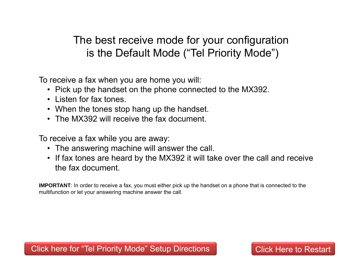# <span id="page-5-0"></span>The best receive mode for your configuration is the Default Mode ("Tel Priority Mode")

To receive a fax when you are home you will:

- Pick up the handset on the phone connected to the MX392.
- Listen for fax tones.
- When the tones stop hang up the handset.
- The MX392 will receive the fax document.

To receive a fax while you are away:

- The answering machine will answer the call.
- If fax tones are heard by the MX392 it will take over the call and receive the fax document.

**IMPORTANT**: In order to receive a fax, you must either pick up the handset on a phone that is connected to the multifunction or let your answering machine answer the call.

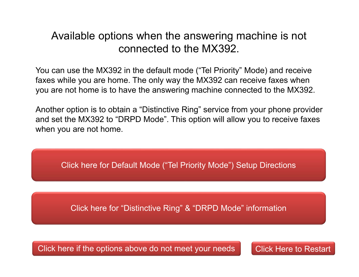#### <span id="page-6-0"></span>Available options when the answering machine is not connected to the MX392.

You can use the MX392 in the default mode ("Tel Priority" Mode) and receive faxes while you are home. The only way the MX392 can receive faxes when you are not home is to have the answering machine connected to the MX392.

Another option is to obtain a "Distinctive Ring" service from your phone provider and set the MX392 to "DRPD Mode". This option will allow you to receive faxes when you are not home.

[Click here for Default Mode \("Tel Priority Mode"\) Setup Directions](#page-14-0)

[Click here for "Distinctive Ring" & "DRPD Mode" information](#page-7-0)

[Click here if the options above do not meet your needs](#page-16-0)

[Click Here to Restart](#page-0-0)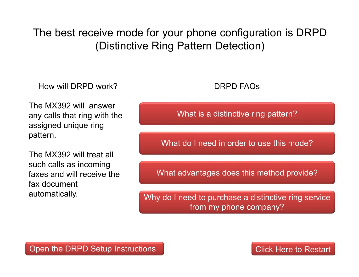<span id="page-7-0"></span>The best receive mode for your phone configuration is DRPD (Distinctive Ring Pattern Detection)

How will DRPD work?

The MX392 will answer any calls that ring with the assigned unique ring pattern.

The MX392 will treat all such calls as incoming faxes and will receive the fax document automatically.

#### DRPD FAQs

[What is a distinctive ring pattern?](#page-10-0)

[What do I need in order to use this mode?](#page-11-0)

[What advantages does this method provide?](#page-12-0)

Why do I need to purchase a distinctive ring service from my phone company?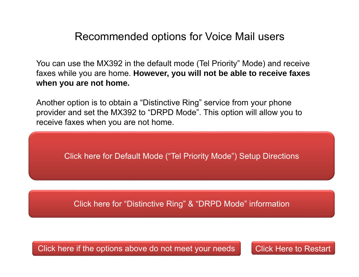#### Recommended options for Voice Mail users

<span id="page-8-0"></span>You can use the MX392 in the default mode (Tel Priority" Mode) and receive faxes while you are home. **However, you will not be able to receive faxes when you are not home.**

Another option is to obtain a "Distinctive Ring" service from your phone provider and set the MX392 to "DRPD Mode". This option will allow you to receive faxes when you are not home.

[Click here for Default Mode \("Tel Priority Mode"\) Setup Directions](#page-14-0)

[Click here for "Distinctive Ring" & "DRPD Mode" information](#page-7-0)

[Click here if the options above do not meet your needs](#page-16-0) [Click Here to Restart](#page-0-0)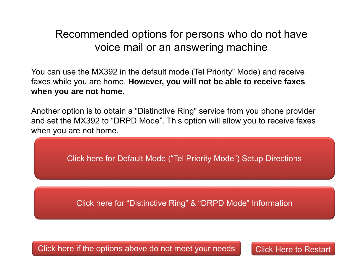### <span id="page-9-0"></span>Recommended options for persons who do not have voice mail or an answering machine

You can use the MX392 in the default mode (Tel Priority" Mode) and receive faxes while you are home. **However, you will not be able to receive faxes when you are not home.**

Another option is to obtain a "Distinctive Ring" service from you phone provider and set the MX392 to "DRPD Mode". This option will allow you to receive faxes when you are not home.

[Click here for Default Mode \("Tel Priority Mode"\) Setup Directions](#page-14-0)

[Click here for "Distinctive Ring" & "DRPD Mode" Information](#page-7-0)

[Click here if the options above do not meet your needs](#page-16-0) [Click Here to Restart](#page-0-0)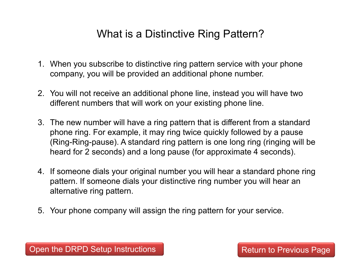# What is a Distinctive Ring Pattern?

- <span id="page-10-0"></span>1. When you subscribe to distinctive ring pattern service with your phone company, you will be provided an additional phone number.
- 2. You will not receive an additional phone line, instead you will have two different numbers that will work on your existing phone line.
- 3. The new number will have a ring pattern that is different from a standard phone ring. For example, it may ring twice quickly followed by a pause (Ring-Ring-pause). A standard ring pattern is one long ring (ringing will be heard for 2 seconds) and a long pause (for approximate 4 seconds).
- 4. If someone dials your original number you will hear a standard phone ring pattern. If someone dials your distinctive ring number you will hear an alternative ring pattern.
- 5. Your phone company will assign the ring pattern for your service.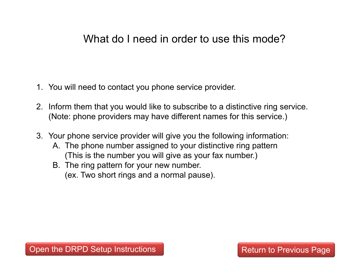#### <span id="page-11-0"></span>What do I need in order to use this mode?

- 1. You will need to contact you phone service provider.
- 2. Inform them that you would like to subscribe to a distinctive ring service. (Note: phone providers may have different names for this service.)
- 3. Your phone service provider will give you the following information:
	- A. The phone number assigned to your distinctive ring pattern (This is the number you will give as your fax number.)
	- B. The ring pattern for your new number. (ex. Two short rings and a normal pause).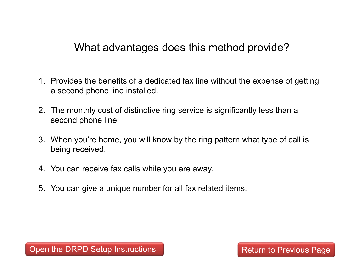<span id="page-12-0"></span>What advantages does this method provide?

- 1. Provides the benefits of a dedicated fax line without the expense of getting a second phone line installed.
- 2. The monthly cost of distinctive ring service is significantly less than a second phone line.
- 3. When you're home, you will know by the ring pattern what type of call is being received.
- 4. You can receive fax calls while you are away.
- 5. You can give a unique number for all fax related items.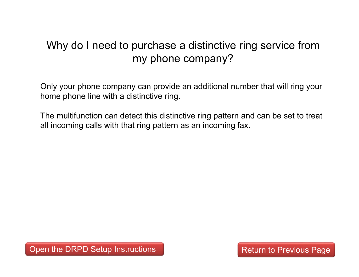# <span id="page-13-0"></span>Why do I need to purchase a distinctive ring service from my phone company?

Only your phone company can provide an additional number that will ring your home phone line with a distinctive ring.

The multifunction can detect this distinctive ring pattern and can be set to treat all incoming calls with that ring pattern as an incoming fax.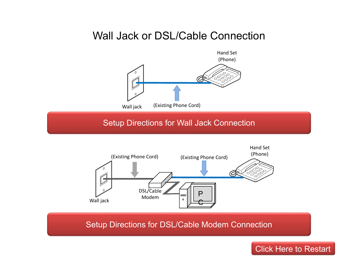#### Wall Jack or DSL/Cable Connection

<span id="page-14-0"></span>

[Setup Directions for DSL/Cable Modem Connection](http://www.usa.canon.com/CUSA/assets/app/pdf/fax/tel_priority_fax_line_setup_mx392_noans_dsl.pdf)

 $\circ$ 

P

 $\mathsf \Theta$ 

DSL/Cable Modem

Wall jack

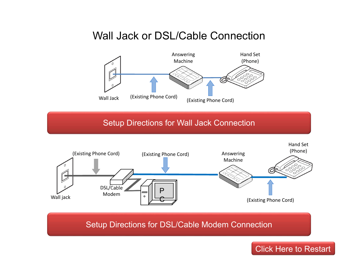## <span id="page-15-0"></span>Wall Jack or DSL/Cable Connection



#### [Setup Directions for Wall Jack Connection](http://www.usa.canon.com/CUSA/assets/app/pdf/fax/tel_priority_fax_line_setup_mx392_ans.pdf)



[Setup Directions for DSL/Cable Modem Connection](http://www.usa.canon.com/CUSA/assets/app/pdf/fax/tel_priority_fax_line_setup_mx392_ans_dsl.pdf)

[Click Here to Restart](#page-0-0)